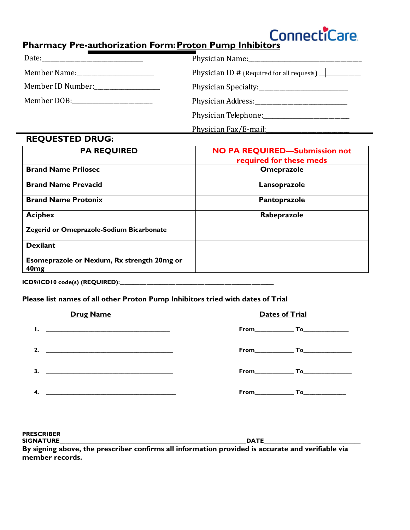## **Pharmacy Pre-authorization Form: Proton Pump Inhibitors**

| Member Name: The Member Name:                                                                                                                                                                                                  | Physician ID # (Required for all requests) $\frac{1}{\sqrt{1-\frac{1}{\sqrt{1-\frac{1}{\sqrt{1-\frac{1}{\sqrt{1-\frac{1}{\sqrt{1-\frac{1}{\sqrt{1-\frac{1}{\sqrt{1-\frac{1}{\sqrt{1-\frac{1}{\sqrt{1-\frac{1}{\sqrt{1-\frac{1}{\sqrt{1-\frac{1}{\sqrt{1-\frac{1}{\sqrt{1-\frac{1}{\sqrt{1-\frac{1}{\sqrt{1-\frac{1}{\sqrt{1-\frac{1}{\sqrt{1-\frac{1}{\sqrt{1-\frac{1}{\sqrt{1-\frac{1}{\$ |
|--------------------------------------------------------------------------------------------------------------------------------------------------------------------------------------------------------------------------------|--------------------------------------------------------------------------------------------------------------------------------------------------------------------------------------------------------------------------------------------------------------------------------------------------------------------------------------------------------------------------------------------|
| Member ID Number:                                                                                                                                                                                                              | Physician Specialty: 2008                                                                                                                                                                                                                                                                                                                                                                  |
| Member DOB: The contract of the contract of the contract of the contract of the contract of the contract of the contract of the contract of the contract of the contract of the contract of the contract of the contract of th | Physician Address: 2008. [1] Physician Address:                                                                                                                                                                                                                                                                                                                                            |
|                                                                                                                                                                                                                                | Physician Telephone: 2008 Physician Telephone:                                                                                                                                                                                                                                                                                                                                             |
|                                                                                                                                                                                                                                | Physician Fax/E-mail:                                                                                                                                                                                                                                                                                                                                                                      |

## **REQUESTED DRUG:**

| <b>PA REQUIRED</b>                                              | <b>NO PA REQUIRED-Submission not</b><br>required for these meds |  |  |
|-----------------------------------------------------------------|-----------------------------------------------------------------|--|--|
| <b>Brand Name Prilosec</b>                                      | <b>Omeprazole</b>                                               |  |  |
| <b>Brand Name Prevacid</b>                                      | Lansoprazole                                                    |  |  |
| <b>Brand Name Protonix</b>                                      | Pantoprazole                                                    |  |  |
| <b>Aciphex</b>                                                  | Rabeprazole                                                     |  |  |
| Zegerid or Omeprazole-Sodium Bicarbonate                        |                                                                 |  |  |
| <b>Dexilant</b>                                                 |                                                                 |  |  |
| Esomeprazole or Nexium, Rx strength 20mg or<br>40 <sub>mg</sub> |                                                                 |  |  |

**ICD9/ICD10 code(s) (REQUIRED):**\_\_\_\_\_\_\_\_\_\_\_\_\_\_\_\_\_\_\_\_\_\_\_\_\_\_\_\_\_\_\_\_\_\_\_\_\_\_\_\_\_\_\_\_\_\_\_\_\_\_\_\_\_\_\_\_\_\_\_\_\_\_\_\_\_\_\_\_\_

## **Please list names of all other Proton Pump Inhibitors tried with dates of Trial**

| <b>Drug Name</b>                                                                                                                                                                                                                  | <b>Dates of Trial</b> |
|-----------------------------------------------------------------------------------------------------------------------------------------------------------------------------------------------------------------------------------|-----------------------|
| $\mathbf{L}$ . The contract of the contract of the contract of the contract of the contract of the contract of the contract of the contract of the contract of the contract of the contract of the contract of the contract of th |                       |
| 2.<br><u> 1980 - Jan Barbara Barbara, manazarta bashkar a shekara 1980 - André a Santa Barbara a Santa Barbara a Santa B</u>                                                                                                      | From <b>To</b>        |
| $\mathbf{3.}$ $\qquad \qquad$                                                                                                                                                                                                     | From <b>To</b>        |
| 4.                                                                                                                                                                                                                                |                       |

**PRESCRIBER SIGNATURE\_\_\_\_\_\_\_\_\_\_\_\_\_\_\_\_\_\_\_\_\_\_\_\_\_\_\_\_\_\_\_\_\_\_\_\_\_\_\_\_\_\_\_\_\_\_\_\_\_\_\_\_\_\_\_\_\_\_\_\_\_\_DATE\_\_\_\_\_\_\_\_\_\_\_\_\_\_\_\_\_\_\_\_\_\_\_\_\_\_\_\_\_\_\_\_ By signing above, the prescriber confirms all information provided is accurate and verifiable via member records.**